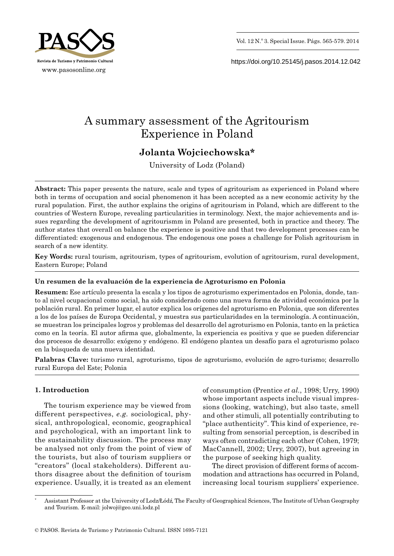



https://doi.org/10.25145/j.pasos.2014.12.042

# A summary assessment of the Agritourism Experience in Poland

# **Jolanta Wojciechowska\***

University of Lodz (Poland)

**Abstract:** This paper presents the nature, scale and types of agritourism as experienced in Poland where both in terms of occupation and social phenomenon it has been accepted as a new economic activity by the rural population. First, the author explains the origins of agritourism in Poland, which are different to the countries of Western Europe, revealing particularities in terminology. Next, the major achievements and issues regarding the development of agritourismm in Poland are presented, both in practice and theory. The author states that overall on balance the experience is positive and that two development processes can be differentiated: exogenous and endogenous. The endogenous one poses a challenge for Polish agritourism in search of a new identity.

**Key Words:** rural tourism, agritourism, types of agritourism, evolution of agritourism, rural development, Eastern Europe; Poland

# **Un resumen de la evaluación de la experiencia de Agroturismo en Polonia**

**Resumen:** Ese artículo presenta la escala y los tipos de agroturismo experimentados en Polonia, donde, tanto al nivel ocupacional como social, ha sido considerado como una nueva forma de atividad económica por la población rural. En primer lugar, el autor explica los orígenes del agroturismo en Polonia, que son diferentes a los de los países de Europa Occidental, y muestra sus particularidades en la terminología. A continuación, se muestran los principales logros y problemas del desarrollo del agroturismo en Polonia, tanto en la práctica como en la teoría. El autor afirma que, globalmente, la experiencia es positiva y que se pueden diferenciar dos procesos de desarrollo: exógeno y endógeno. El endógeno plantea un desafío para el agroturismo polaco en la búsqueda de una nueva identidad.

**Palabras Clave:** turismo rural, agroturismo, tipos de agroturismo, evolución de agro -turismo; desarrollo rural Europa del Este; Polonia

# **1. Introduction**

The tourism experience may be viewed from different perspectives, *e.g.* sociological, physical, anthropological, economic, geographical and psychological, with an important link to the sustainability discussion. The process may be analysed not only from the point of view of the tourists, but also of tourism suppliers or "creators" (local stakeholders). Different authors disagree about the definition of tourism experience. Usually, it is treated as an element

of consumption (Prentice *et al.*, 1998; Urry, 1990) whose important aspects include visual impressions (looking, watching), but also taste, smell and other stimuli, all potentially contributing to "place authenticity". This kind of experience, resulting from sensorial perception, is described in ways often contradicting each other (Cohen, 1979; MacCannell, 2002; Urry, 2007), but agreeing in the purpose of seeking high quality.

The direct provision of different forms of accommodation and attractions has occurred in Poland, increasing local tourism suppliers' experience.

Assistant Professor at the University of Lodz/Łódź, The Faculty of Geographical Sciences, The Institute of Urban Geography and Tourism. E -mail: jolwoj@geo.uni.lodz.pl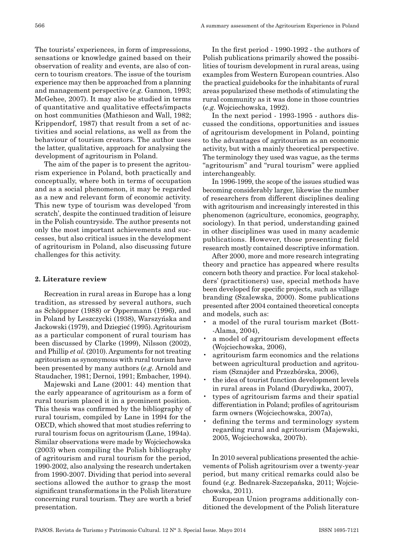The tourists' experiences, in form of impressions, sensations or knowledge gained based on their observation of reality and events, are also of concern to tourism creators. The issue of the tourism experience may then be approached from a planning and management perspective (*e.g.* Gannon, 1993; McGehee, 2007). It may also be studied in terms of quantitative and qualitative effects/impacts on host communities (Mathieson and Wall, 1982; Krippendorf, 1987) that result from a set of activities and social relations, as well as from the behaviour of tourism creators. The author uses the latter, qualitative, approach for analysing the development of agritourism in Poland.

The aim of the paper is to present the agritourism experience in Poland, both practically and conceptually, where both in terms of occupation and as a social phenomenon, it may be regarded as a new and relevant form of economic activity. This new type of tourism was developed 'from scratch', despite the continued tradition of leisure in the Polish countryside. The author presents not only the most important achievements and successes, but also critical issues in the development of agritourism in Poland, also discussing future challenges for this activity.

### **2. Literature review**

Recreation in rural areas in Europe has a long tradition, as stressed by several authors, such as Schöppner (1988) or Oppermann (1996), and in Poland by Leszczycki (1938), Warszyńska and Jackowski (1979), and Dziegieć (1995). Agritourism as a particular component of rural tourism has been discussed by Clarke (1999), Nilsson (2002), and Phillip *et al.* (2010). Arguments for not treating agritourism as synonymous with rural tourism have been presented by many authors (*e.g.* Arnold and Staudacher, 1981; Dernoi, 1991; Embacher, 1994).

Majewski and Lane (2001: 44) mention that the early appearance of agritourism as a form of rural tourism placed it in a prominent position. This thesis was confirmed by the bibliography of rural tourism, compiled by Lane in 1994 for the OECD, which showed that most studies referring to rural tourism focus on agritourism (Lane, 1994a). Similar observations were made by Wojciechowska (2003) when compiling the Polish bibliography of agritourism and rural tourism for the period, 1990 -2002, also analysing the research undertaken from 1990 -2007. Dividing that period into several sections allowed the author to grasp the most significant transformations in the Polish literature concerning rural tourism. They are worth a brief presentation.

In the first period - 1990 -1992 - the authors of Polish publications primarily showed the possibilities of tourism development in rural areas, using examples from Western European countries. Also the practical guidebooks for the inhabitants of rural areas popularized these methods of stimulating the rural community as it was done in those countries (*e.g.* Wojciechowska, 1992).

In the next period - 1993 -1995 - authors discussed the conditions, opportunities and issues of agritourism development in Poland, pointing to the advantages of agritourism as an economic activity, but with a mainly theoretical perspective. The terminology they used was vague, as the terms "agritourism" and "rural tourism" were applied interchangeably.

In 1996 -1999, the scope of the issues studied was becoming considerably larger, likewise the number of researchers from different disciplines dealing with agritourism and increasingly interested in this phenomenon (agriculture, economics, geography, sociology). In that period, understanding gained in other disciplines was used in many academic publications. However, those presenting field research mostly contained descriptive information.

After 2000, more and more research integrating theory and practice has appeared where results concern both theory and practice. For local stakeholders' (practitioners) use, special methods have been developed for specific projects, such as village branding (Szalewska, 2000). Some publications presented after 2004 contained theoretical concepts and models, such as:

- a model of the rural tourism market (Bott- -Alama, 2004),
- a model of agritourism development effects (Wojciechowska, 2006),
- agritourism farm economics and the relations between agricultural production and agritourism (Sznajder and Przezbórska, 2006),
- the idea of tourist function development levels in rural areas in Poland (Durydiwka, 2007),
- types of agritourism farms and their spatial differentiation in Poland; profiles of agritourism farm owners (Wojciechowska, 2007a),
- defining the terms and terminology system regarding rural and agritourism (Majewski, 2005, Wojciechowska, 2007b).

In 2010 several publications presented the achievements of Polish agritourism over a twenty -year period, but many critical remarks could also be found (*e.g.* Bednarek -Szczepańska, 2011; Wojciechowska, 2011).

European Union programs additionally conditioned the development of the Polish literature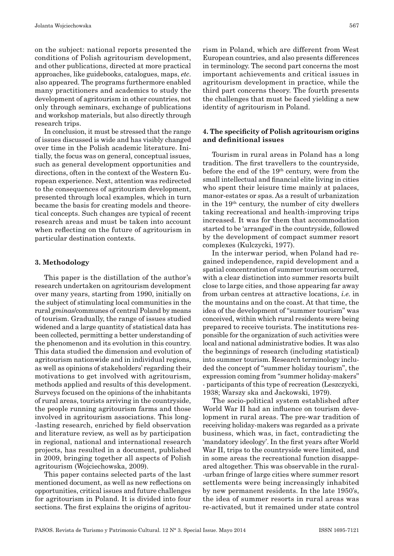on the subject: national reports presented the conditions of Polish agritourism development, and other publications, directed at more practical approaches, like guidebooks, catalogues, maps, *etc*. also appeared. The programs furthermore enabled many practitioners and academics to study the development of agritourism in other countries, not only through seminars, exchange of publications and workshop materials, but also directly through research trips.

In conclusion, it must be stressed that the range of issues discussed is wide and has visibly changed over time in the Polish academic literature. Initially, the focus was on general, conceptual issues, such as general development opportunities and directions, often in the context of the Western European experience. Next, attention was redirected to the consequences of agritourism development, presented through local examples, which in turn became the basis for creating models and theoretical concepts. Such changes are typical of recent research areas and must be taken into account when reflecting on the future of agritourism in particular destination contexts.

#### **3. Methodology**

This paper is the distillation of the author's research undertaken on agritourism development over many years, starting from 1990, initially on the subject of stimulating local communities in the rural *gminas*/communes of central Poland by means of tourism. Gradually, the range of issues studied widened and a large quantity of statistical data has been collected, permitting a better understanding of the phenomenon and its evolution in this country. This data studied the dimension and evolution of agritourism nationwide and in individual regions, as well as opinions of stakeholders' regarding their motivations to get involved with agritourism, methods applied and results of this development. Surveys focused on the opinions of the inhabitants of rural areas, tourists arriving in the countryside, the people running agritourism farms and those involved in agritourism associations. This long- -lasting research, enriched by field observation and literature review, as well as by participation in regional, national and international research projects, has resulted in a document, published in 2009, bringing together all aspects of Polish agritourism (Wojciechowska, 2009).

This paper contains selected parts of the last mentioned document, as well as new reflections on opportunities, critical issues and future challenges for agritourism in Poland. It is divided into four sections. The first explains the origins of agritou-

rism in Poland, which are different from West European countries, and also presents differences in terminology. The second part concerns the most important achievements and critical issues in agritourism development in practice, while the third part concerns theory. The fourth presents the challenges that must be faced yielding a new identity of agritourism in Poland.

# **4. The specificity of Polish agritourism origins and definitional issues**

Tourism in rural areas in Poland has a long tradition. The first travellers to the countryside, before the end of the 19<sup>th</sup> century, were from the small intellectual and financial elite living in cities who spent their leisure time mainly at palaces, manor -estates or spas. As a result of urbanization in the  $19<sup>th</sup>$  century, the number of city dwellers taking recreational and health -improving trips increased. It was for them that accommodation started to be 'arranged' in the countryside, followed by the development of compact summer resort complexes (Kulczycki, 1977).

In the interwar period, when Poland had regained independence, rapid development and a spatial concentration of summer tourism occurred, with a clear distinction into summer resorts built close to large cities, and those appearing far away from urban centres at attractive locations, *i.e.* in the mountains and on the coast. At that time, the idea of the development of "summer tourism" was conceived, within which rural residents were being prepared to receive tourists. The institutions responsible for the organization of such activities were local and national administrative bodies. It was also the beginnings of research (including statistical) into summer tourism. Research terminology included the concept of "summer holiday tourism", the expression coming from "summer holiday -makers" - participants of this type of recreation (Leszczycki, 1938; Warszy ska and Jackowski, 1979).

The socio -political system established after World War II had an influence on tourism development in rural areas. The pre -war tradition of receiving holiday -makers was regarded as a private business, which was, in fact, contradicting the 'mandatory ideology'. In the first years after World War II, trips to the countryside were limited, and in some areas the recreational function disappeared altogether. This was observable in the rural- -urban fringe of large cities where summer resort settlements were being increasingly inhabited by new permanent residents. In the late 1950's, the idea of summer resorts in rural areas was re -activated, but it remained under state control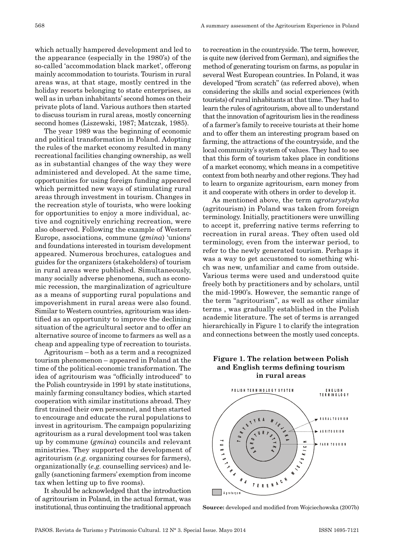which actually hampered development and led to the appearance (especially in the 1980's) of the so -called 'accommodation black market', offerong mainly accommodation to tourists. Tourism in rural areas was, at that stage, mostly centred in the holiday resorts belonging to state enterprises, as well as in urban inhabitants' second homes on their private plots of land. Various authors then started to discuss tourism in rural areas, mostly concerning second homes (Liszewski, 1987; Matczak, 1985).

The year 1989 was the beginning of economic and political transformation in Poland. Adopting the rules of the market economy resulted in many recreational facilities changing ownership, as well as in substantial changes of the way they were administered and developed. At the same time, opportunities for using foreign funding appeared which permitted new ways of stimulating rural areas through investment in tourism. Changes in the recreation style of tourists, who were looking for opportunities to enjoy a more individual, active and cognitively enriching recreation, were also observed. Following the example of Western Europe, associations, commune (*gmina*) 'unions' and foundations interested in tourism development appeared. Numerous brochures, catalogues and guides for the organizers (stakeholders) of tourism in rural areas were published. Simultaneously, many socially adverse phenomena, such as economic recession, the marginalization of agriculture as a means of supporting rural populations and impoverishment in rural areas were also found. Similar to Western countries, agritourism was identified as an opportunity to improve the declining situation of the agricultural sector and to offer an alternative source of income to farmers as well as a cheap and appealing type of recreation to tourists.

Agritourism – both as a term and a recognized tourism phenomenon – appeared in Poland at the time of the political -economic transformation. The idea of agritourism was "officially introduced" to the Polish countryside in 1991 by state institutions, mainly farming consultancy bodies, which started cooperation with similar institutions abroad. They first trained their own personnel, and then started to encourage and educate the rural populations to invest in agritourism. The campaign popularizing agritourism as a rural development tool was taken up by commune (*gmina*) councils and relevant ministries. They supported the development of agritourism (*e.g.* organizing courses for farmers), organizationally (*e.g.* counselling services) and legally (sanctioning farmers' exemption from income tax when letting up to five rooms).

It should be acknowledged that the introduction of agritourism in Poland, in the actual format, was institutional, thus continuing the traditional approach to recreation in the countryside. The term, however, is quite new (derived from German), and signifies the method of generating tourism on farms, as popular in several West European countries. In Poland, it was developed "from scratch" (as referred above), when considering the skills and social experiences (with tourists) of rural inhabitants at that time. They had to learn the rules of agritourism, above all to understand that the innovation of agritourism lies in the readiness of a farmer's family to receive tourists at their home and to offer them an interesting program based on farming, the attractions of the countryside, and the local community's system of values. They had to see that this form of tourism takes place in conditions of a market economy, which means in a competitive context from both nearby and other regions. They had to learn to organize agritourism, earn money from it and cooperate with others in order to develop it.

As mentioned above, the term *agroturystyka* (agritourism) in Poland was taken from foreign terminology. Initially, practitioners were unwilling to accept it, preferring native terms referring to recreation in rural areas. They often used old terminology, even from the interwar period, to refer to the newly generated tourism. Perhaps it was a way to get accustomed to something which was new, unfamiliar and came from outside. Various terms were used and understood quite freely both by practitioners and by scholars, until the mid -1990's. However, the semantic range of the term "agritourism", as well as other similar terms , was gradually established in the Polish academic literature. The set of terms is arranged hierarchically in Figure 1 to clarify the integration and connections between the mostly used concepts.

## **Figure 1. The relation between Polish and English terms defining tourism in rural areas**



**Source:** developed and modified from Wojciechowska (2007b)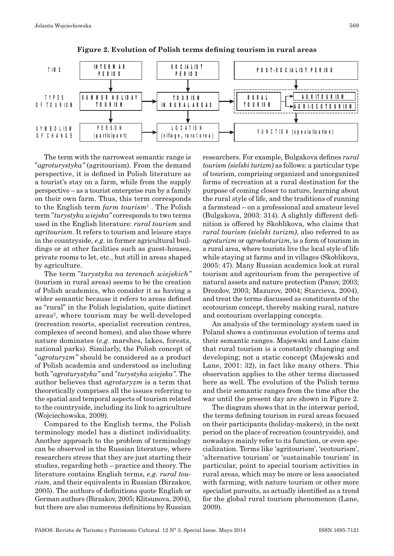



The term with the narrowest semantic range is "*agroturystyka"* (agritourism). From the demand perspective, it is defined in Polish literature as a tourist's stay on a farm, while from the supply perspective – as a tourist enterprise run by a family on their own farm. Thus, this term corresponds to the English term *farm tourism*<sup>1</sup> . The Polish term "*turystyka wiejska"* corresponds to two terms used in the English literature: *rural tourism* and *agritourism*. It refers to tourism and leisure stays in the countryside, *e.g.* in former agricultural buildings or at other facilities such as guest -houses, private rooms to let, etc., but still in areas shaped by agriculture.

The term "*turystyka na terenach wiejskich"*  (tourism in rural areas) seems to be the creation of Polish academics, who consider it as having a wider semantic because it refers to areas defined as "rural" in the Polish legislation, quite distinct areas<sup>2</sup>, where tourism may be well-developed (recreation resorts, specialist recreation centres, complexes of second homes), and also those where nature dominates (*e.g.* marshes, lakes, forests, national parks). Similarly, the Polish concept of "*agroturyzm"* should be considered as a product of Polish academia and understood as including both "*agroturystyka"* and "*turystyka wiejska"*. The author believes that *agroturyzm* is a term that theoretically comprises all the issues referring to the spatial and temporal aspects of tourism related to the countryside, including its link to agriculture (Wojciechowska, 2009).

Compared to the English terms, the Polish terminology model has a distinct individuality. Another approach to the problem of terminology can be observed in the Russian literature, where researchers stress that they are just starting their studies, regarding both – practice and theory. The literature contains English terms, *e.g*. *rural tou‑ rism*, and their equivalents in Russian (Birzakov, 2005). The authors of definitions quote English or German authors (Birzakov, 2005; Klitsunova, 2004), but there are also numerous definitions by Russian

researchers. For example, Bulgakova defines *rural tourism (sielski turizm)* as follows: a particular type of tourism, comprising organized and unorganized forms of recreation at a rural destination for the purpose of coming closer to nature, learning about the rural style of life, and the traditions of running a farmstead – on a professional and amateur level (Bulgakova, 2003: 314). A slightly different definition is offered by Skoblikova, who claims that *rural tourism (sielski turizm)*, also referred to as *agroturizm* or *agroekoturizm*, is a form of tourism in a rural area, where tourists live the local style of life while staying at farms and in villages (Skoblikova, 2005: 47). Many Russian academics look at rural tourism and agritourism from the perspective of natural assets and nature protection (Panov, 2003; Drozdov, 2003; Mazurov, 2004; Starcieva, 2004), and treat the terms discussed as constituents of the ecotourism concept, thereby making rural, nature and ecotourism overlapping concepts.

An analysis of the terminology system used in Poland shows a continuous evolution of terms and their semantic ranges. Majewski and Lane claim that rural tourism is a constantly changing and developing; not a static concept (Majewski and Lane, 2001: 32), in fact like many others. This observation applies to the other terms discussed here as well. The evolution of the Polish terms and their semantic ranges from the time after the war until the present day are shown in Figure 2.

The diagram shows that in the interwar period, the terms defining tourism in rural areas focused on their participants (holiday -makers), in the next period on the place of recreation (countryside), and nowadays mainly refer to its function, or even specialization. Terms like 'agritourism', 'ecotourism', 'alternative tourism' or 'sustainable tourism' in particular, point to special tourism activities in rural areas, which may be more or less associated with farming, with nature tourism or other more specialist pursuits, as actually identified as a trend for the global rural tourism phenomenon (Lane, 2009).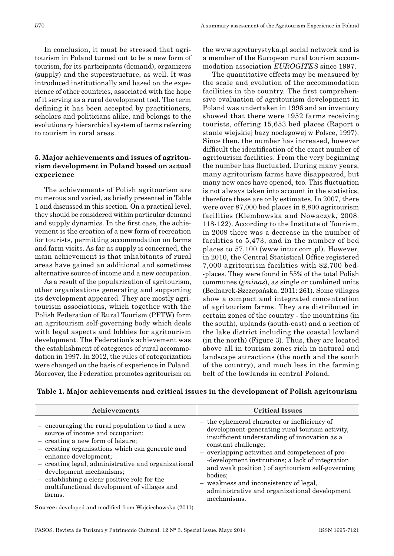In conclusion, it must be stressed that agritourism in Poland turned out to be a new form of tourism, for its participants (demand), organizers (supply) and the superstructure, as well. It was introduced institutionally and based on the experience of other countries, associated with the hope of it serving as a rural development tool. The term defining it has been accepted by practitioners, scholars and politicians alike, and belongs to the evolutionary hierarchical system of terms referring to tourism in rural areas.

# **5. Major achievements and issues of agritourism development in Poland based on actual experience**

The achievements of Polish agritourism are numerous and varied, as briefly presented in Table 1 and discussed in this section. On a practical level, they should be considered within particular demand and supply dynamics. In the first case, the achievement is the creation of a new form of recreation for tourists, permitting accommodation on farms and farm visits. As far as supply is concerned, the main achievement is that inhabitants of rural areas have gained an additional and sometimes alternative source of income and a new occupation.

As a result of the popularization of agritourism, other organisations generating and supporting its development appeared. They are mostly agritourism associations, which together with the Polish Federation of Rural Tourism (PFTW) form an agritourism self -governing body which deals with legal aspects and lobbies for agritourism development. The Federation's achievement was the establishment of categories of rural accommodation in 1997. In 2012, the rules of categorization were changed on the basis of experience in Poland. Moreover, the Federation promotes agritourism on

the www.agroturystyka.pl social network and is a member of the European rural tourism accommodation association *EUROGITES* since 1997.

The quantitative effects may be measured by the scale and evolution of the accommodation facilities in the country. The first comprehensive evaluation of agritourism development in Poland was undertaken in 1996 and an inventory showed that there were 1952 farms receiving tourists, offering 15,653 bed places (Raport o stanie wiejskiej bazy noclegowej w Polsce, 1997). Since then, the number has increased, however difficult the identification of the exact number of agritourism facilities. From the very beginning the number has fluctuated. During many years, many agritourism farms have disappeared, but many new ones have opened, too. This fluctuation is not always taken into account in the statistics, therefore these are only estimates. In 2007, there were over 87,000 bed places in 8,800 agritourism facilities (Klembowska and Nowaczyk, 2008: 118 -122). According to the Institute of Tourism, in 2009 there was a decrease in the number of facilities to 5,473, and in the number of bed places to 57,100 (www.intur.com.pl). However, in 2010, the Central Statistical Office registered 7,000 agritourism facilities with 82,700 bed- -places. They were found in 55% of the total Polish communes (*gminas*), as single or combined units (Bednarek -Szczepańska, 2011: 261). Some villages show a compact and integrated concentration of agritourism farms. They are distributed in certain zones of the country - the mountains (in the south), uplands (south -east) and a section of the lake district including the coastal lowland (in the north) (Figure 3). Thus, they are located above all in tourism zones rich in natural and landscape attractions (the north and the south of the country), and much less in the farming belt of the lowlands in central Poland.

| Achievements                                        | <b>Critical Issues</b>                            |
|-----------------------------------------------------|---------------------------------------------------|
| encouraging the rural population to find a new      | - the ephemeral character or inefficiency of      |
| source of income and occupation;                    | development-generating rural tourism activity.    |
| creating a new form of leisure;                     | insufficient understanding of innovation as a     |
| $\qquad \qquad -$                                   | constant challenge;                               |
| - creating organisations which can generate and     | overlapping activities and competences of pro-    |
| enhance development;                                | -development institutions; a lack of integration  |
| - creating legal, administrative and organizational | and weak position ) of agritourism self-governing |
| development mechanisms;                             | bodies:                                           |
| - establishing a clear positive role for the        | - weakness and inconsistency of legal,            |
| multifunctional development of villages and         | administrative and organizational development     |
| farms.                                              | mechanisms.                                       |

**Table 1. Major achievements and critical issues in the development of Polish agritourism**

**Source:** developed and modified from Wojciechowska (2011)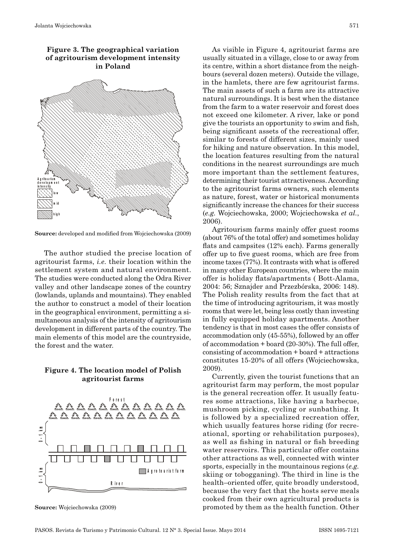A g r i t o u r i s m d e v e l o p m e n t in t e n s it y lo w m i d h ig h





The author studied the precise location of agritourist farms, *i.e.* their location within the settlement system and natural environment. The studies were conducted along the Odra River valley and other landscape zones of the country (lowlands, uplands and mountains). They enabled the author to construct a model of their location in the geographical environment, permitting a simultaneous analysis of the intensity of agritourism development in different parts of the country. The main elements of this model are the countryside, the forest and the water.

### **Figure 4. The location model of Polish agritourist farms**



**Source:** Wojciechowska (2009)

As visible in Figure 4, agritourist farms are usually situated in a village, close to or away from its centre, within a short distance from the neighbours (several dozen meters). Outside the village, in the hamlets, there are few agritourist farms. The main assets of such a farm are its attractive natural surroundings. It is best when the distance from the farm to a water reservoir and forest does not exceed one kilometer. A river, lake or pond give the tourists an opportunity to swim and fish, being significant assets of the recreational offer, similar to forests of different sizes, mainly used for hiking and nature observation. In this model, the location features resulting from the natural conditions in the nearest surroundings are much more important than the settlement features, determining their tourist attractiveness. According to the agritourist farms owners, such elements as nature, forest, water or historical monuments significantly increase the chances for their success (*e.g.* Wojciechowska*,* 2000; Wojciechowska *et al.*, 2006).

Agritourism farms mainly offer guest rooms (about 76% of the total offer) and sometimes holiday flats and campsites (12% each). Farms generally offer up to five guest rooms, which are free from income taxes (77%). It contrasts with what is offered in many other European countries, where the main offer is holiday flats/apartments ( Bott -Alama, 2004: 56; Sznajder and Przezbórska, 2006: 148). The Polish reality results from the fact that at the time of introducing agritourism, it was mostly rooms that were let, being less costly than investing in fully equipped holiday apartments. Another tendency is that in most cases the offer consists of accommodation only (45 -55%), followed by an offer of accommodation + board (20 -30%). The full offer, consisting of accommodation + board + attractions constitutes 15 -20% of all offers (Wojciechowska, 2009).

Currently, given the tourist functions that an agritourist farm may perform, the most popular is the general recreation offer. It usually features some attractions, like having a barbecue, mushroom picking, cycling or sunbathing. It is followed by a specialized recreation offer, which usually features horse riding (for recreational, sporting or rehabilitation purposes), as well as fishing in natural or fish breeding water reservoirs. This particular offer contains other attractions as well, connected with winter sports, especially in the mountainous regions (*e.g.* skiing or tobogganing). The third in line is the health–oriented offer, quite broadly understood, because the very fact that the hosts serve meals cooked from their own agricultural products is promoted by them as the health function. Other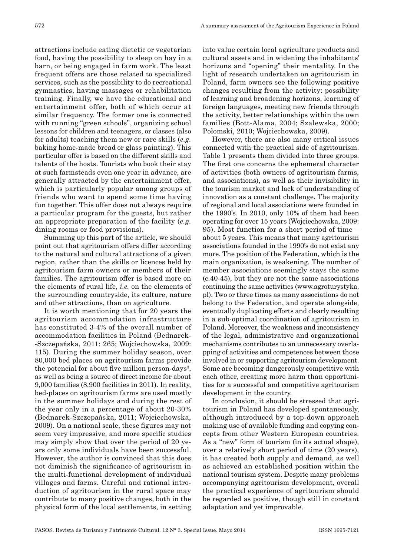attractions include eating dietetic or vegetarian food, having the possibility to sleep on hay in a barn, or being engaged in farm work. The least frequent offers are those related to specialized services, such as the possibility to do recreational gymnastics, having massages or rehabilitation training. Finally, we have the educational and entertainment offer, both of which occur at similar frequency. The former one is connected with running "green schools", organizing school lessons for children and teenagers, or classes (also for adults) teaching them new or rare skills (*e.g.* baking home -made bread or glass painting). This particular offer is based on the different skills and talents of the hosts. Tourists who book their stay at such farmsteads even one year in advance, are generally attracted by the entertainment offer, which is particularly popular among groups of friends who want to spend some time having fun together. This offer does not always require a particular program for the guests, but rather an appropriate preparation of the facility (*e.g.* dining rooms or food provisions).

Summing up this part of the article, we should point out that agritourism offers differ according to the natural and cultural attractions of a given region, rather than the skills or licences held by agritourism farm owners or members of their families. The agritourism offer is based more on the elements of rural life, *i.e.* on the elements of the surrounding countryside, its culture, nature and other attractions, than on agriculture.

It is worth mentioning that for 20 years the agritourism accommodation infrastructure has constituted 3 -4% of the overall number of accommodation facilities in Poland (Bednarek- -Szczepańska, 2011: 265; Wojciechowska, 2009: 115). During the summer holiday season, over 80,000 bed places on agritourism farms provide the potencial for about five million person-days<sup>3</sup>, as well as being a source of direct income for about 9,000 families (8,900 facilities in 2011). In reality, bed -places on agritourism farms are used mostly in the summer holidays and during the rest of the year only in a percentage of about 20 -30% (Bednarek -Szczepańska, 2011; Wojciechowska, 2009). On a national scale, these figures may not seem very impressive, and more specific studies may simply show that over the period of 20 years only some individuals have been successful. However, the author is convinced that this does not diminish the significance of agritourism in the multi -functional development of individual villages and farms. Careful and rational introduction of agritourism in the rural space may contribute to many positive changes, both in the physical form of the local settlements, in setting

into value certain local agriculture products and cultural assets and in widening the inhabitants' horizons and "opening" their mentality. In the light of research undertaken on agritourism in Poland, farm owners see the following positive changes resulting from the activity: possibility of learning and broadening horizons, learning of foreign languages, meeting new friends through the activity, better relationships within the own families (Bott -Alama, 2004; Szalewska, 2000; Połomski, 2010; Wojciechowska, 2009).

However, there are also many critical issues connected with the practical side of agritourism. Table 1 presents them divided into three groups. The first one concerns the ephemeral character of activities (both owners of agritourism farms, and associations), as well as their invisibility in the tourism market and lack of understanding of innovation as a constant challenge. The majority of regional and local associations were founded in the 1990's. In 2010, only 10% of them had been operating for over 15 years (Wojciechowska, 2009: 95). Most function for a short period of time – about 5 years. This means that many agritourism associations founded in the 1990's do not exist any more. The position of the Federation, which is the main organization, is weakening. The number of member associations seemingly stays the same (c.40 -45), but they are not the same associations continuing the same activities (www.agroturystyka. pl). Two or three times as many associations do not belong to the Federation, and operate alongside, eventually duplicating efforts and clearly resulting in a sub -optimal coordination of agritourism in Poland. Moreover, the weakness and inconsistency of the legal, administrative and organizational mechanisms contributes to an unnecessary overlapping of activities and competences between those involved in or supporting agritourism development. Some are becoming dangerously competitive with each other, creating more harm than opportunities for a successful and competitive agritourism development in the country.

In conclusion, it should be stressed that agritourism in Poland has developed spontaneously, although introduced by a top -down approach making use of available funding and copying concepts from other Western European countries. As a "new" form of tourism (in its actual shape), over a relatively short period of time (20 years), it has created both supply and demand, as well as achieved an established position within the national tourism system. Despite many problems accompanying agritourism development, overall the practical experience of agritourism should be regarded as positive, though still in constant adaptation and yet improvable.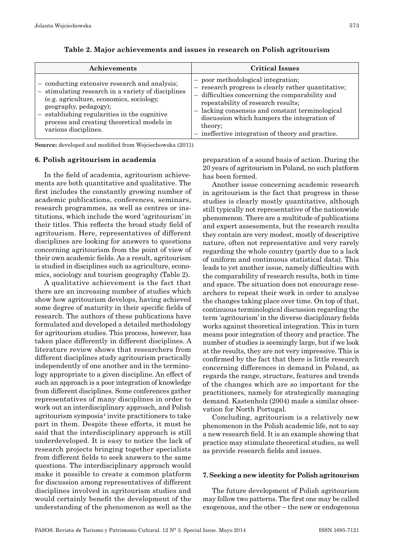| Achievements                                                                                                                                                                                                                                                                                   | <b>Critical Issues</b>                                                                                                                                                                                                                                                                                                                             |
|------------------------------------------------------------------------------------------------------------------------------------------------------------------------------------------------------------------------------------------------------------------------------------------------|----------------------------------------------------------------------------------------------------------------------------------------------------------------------------------------------------------------------------------------------------------------------------------------------------------------------------------------------------|
| - conducting extensive research and analysis;<br>- stimulating research in a variety of disciplines<br>(e.g. agriculture, economics, sociology,<br>geography, pedagogy);<br>- establishing regularities in the cognitive<br>process and creating theoretical models in<br>various disciplines. | - poor methodological integration;<br>- research progress is clearly rather quantitative;<br>- difficulties concerning the comparability and<br>repeatability of research results;<br>- lacking consensus and constant terminological<br>discussion which hampers the integration of<br>theory;<br>ineffective integration of theory and practice. |

**Table 2. Major achievements and issues in research on Polish agritourism**

**Source:** developed and modified from Wojciechowska (2011)

#### **6. Polish agritourism in academia**

In the field of academia, agritourism achievements are both quantitative and qualitative. The first includes the constantly growing number of academic publications, conferences, seminars, research programmes, as well as centres or institutions, which include the word 'agritourism' in their titles. This reflects the broad study field of agritourism. Here, representatives of different disciplines are looking for answers to questions concerning agritourism from the point of view of their own academic fields. As a result, agritourism is studied in disciplines such as agriculture, economics, sociology and tourism geography (Table 2).

A qualitative achievement is the fact that there are an increasing number of studies which show how agritourism develops, having achieved some degree of maturity in their specific fields of research. The authors of these publications have formulated and developed a detailed methodology for agritourism studies. This process, however, has taken place differently in different disciplines. A literature review shows that researchers from different disciplines study agritourism practically independently of one another and in the terminology appropriate to a given discipline. An effect of such an approach is a poor integration of knowledge from different disciplines. Some conferences gather representatives of many disciplines in order to work out an interdisciplinary approach, and Polish agritourism symposia4 invite practitioners to take part in them. Despite these efforts, it must be said that the interdisciplinary approach is still underdeveloped. It is easy to notice the lack of research projects bringing together specialists from different fields to seek answers to the same questions. The interdisciplinary approach would make it possible to create a common platform for discussion among representatives of different disciplines involved in agritourism studies and would certainly benefit the development of the understanding of the phenomenon as well as the

preparation of a sound basis of action. During the 20 years of agritourism in Poland, no such platform has been formed.

Another issue concerning academic research in agritourism is the fact that progress in these studies is clearly mostly quantitative, although still typically not representative of the nationwide phenomenon. There are a multitude of publications and expert assessments, but the research results they contain are very modest, mostly of descriptive nature, often not representative and very rarely regarding the whole country (partly due to a lack of uniform and continuous statistical data). This leads to yet another issue, namely difficulties with the comparability of research results, both in time and space. The situation does not encourage researchers to repeat their work in order to analyse the changes taking place over time. On top of that, continuous terminological discussion regarding the term 'agritourism' in the diverse disciplinary fields works against theoretical integration. This in turn means poor integration of theory and practice. The number of studies is seemingly large, but if we look at the results, they are not very impressive. This is confirmed by the fact that there is little research concerning differences in demand in Poland, as regards the range, structure, features and trends of the changes which are so important for the practitioners, namely for strategically managing demand. Kastenholz (2004) made a similar observation for North Portugal.

Concluding, agritourism is a relatively new phenomenon in the Polish academic life, not to say a new research field. It is an example showing that practice may stimulate theoretical studies, as well as provide research fields and issues.

#### **7. Seeking a new identity for Polish agritourism**

The future development of Polish agritourism may follow two patterns. The first one may be called exogenous, and the other – the new or endogenous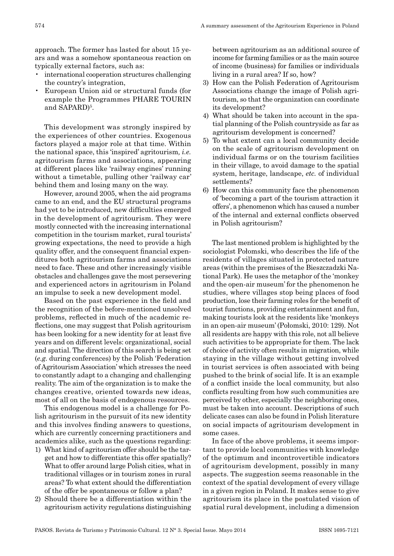approach. The former has lasted for about 15 years and was a somehow spontaneous reaction on typically external factors, such as:

- international cooperation structures challenging the country's integration,
- European Union aid or structural funds (for example the Programmes PHARE TOURIN and SAPARD)<sup>5</sup>.

This development was strongly inspired by the experiences of other countries. Exogenous factors played a major role at that time. Within the national space, this 'inspired' agritourism*, i.e.* agritourism farms and associations, appearing at different places like 'railway engines' running without a timetable, pulling other 'railway car' behind them and losing many on the way.

However, around 2005, when the aid programs came to an end, and the EU structural programs had yet to be introduced, new difficulties emerged in the development of agritourism. They were mostly connected with the increasing international competition in the tourism market, rural tourists' growing expectations, the need to provide a high quality offer, and the consequent financial expenditures both agritourism farms and associations need to face. These and other increasingly visible obstacles and challenges gave the most persevering and experienced actors in agritourism in Poland an impulse to seek a new development model.

Based on the past experience in the field and the recognition of the before -mentioned unsolved problems, reflected in much of the academic reflections, one may suggest that Polish agritourism has been looking for a new identity for at least five years and on different levels: organizational, social and spatial. The direction of this search is being set (*e.g.* during conferences) by the Polish 'Federation of Agritourism Association' which stresses the need to constantly adapt to a changing and challenging reality. The aim of the organization is to make the changes creative, oriented towards new ideas, most of all on the basis of endogenous resources.

This endogenous model is a challenge for Polish agritourism in the pursuit of its new identity and this involves finding answers to questions, which are currently concerning practitioners and academics alike, such as the questions regarding:

- 1) What kind of agritourism offer should be the target and how to differentiate this offer spatially? What to offer around large Polish cities, what in traditional villages or in tourism zones in rural areas? To what extent should the differentiation of the offer be spontaneous or follow a plan?
- 2) Should there be a differentiation within the agritourism activity regulations distinguishing

between agritourism as an additional source of income for farming families or as the main source of income (business) for families or individuals living in a rural area? If so, how?

- 3) How can the Polish Federation of Agritourism Associations change the image of Polish agritourism, so that the organization can coordinate its development?
- 4) What should be taken into account in the spatial planning of the Polish countryside as far as agritourism development is concerned?
- 5) To what extent can a local community decide on the scale of agritourism development on individual farms or on the tourism facilities in their village, to avoid damage to the spatial system, heritage, landscape, *etc.* of individual settlements?
- 6) How can this community face the phenomenon of 'becoming a part of the tourism attraction it offers', a phenomenon which has caused a number of the internal and external conflicts observed in Polish agritourism?

The last mentioned problem is highlighted by the sociologist Połomski, who describes the life of the residents of villages situated in protected nature areas (within the premises of the Bieszczadzki National Park). He uses the metaphor of the 'monkey and the open -air museum' for the phenomenon he studies, where villages stop being places of food production, lose their farming roles for the benefit of tourist functions, providing entertainment and fun, making tourists look at the residents like 'monkeys in an open -air museum' (Połomski, 2010: 129). Not all residents are happy with this role, not all believe such activities to be appropriate for them. The lack of choice of activity often results in migration, while staying in the village without getting involved in tourist services is often associated with being pushed to the brink of social life. It is an example of a conflict inside the local community, but also conflicts resulting from how such communities are perceived by other, especially the neighboring ones, must be taken into account. Descriptions of such delicate cases can also be found in Polish literature on social impacts of agritourism development in some cases.

In face of the above problems, it seems important to provide local communities with knowledge of the optimum and incontrovertible indicators of agritourism development, possibly in many aspects. The suggestion seems reasonable in the context of the spatial development of every village in a given region in Poland. It makes sense to give agritourism its place in the postulated vision of spatial rural development, including a dimension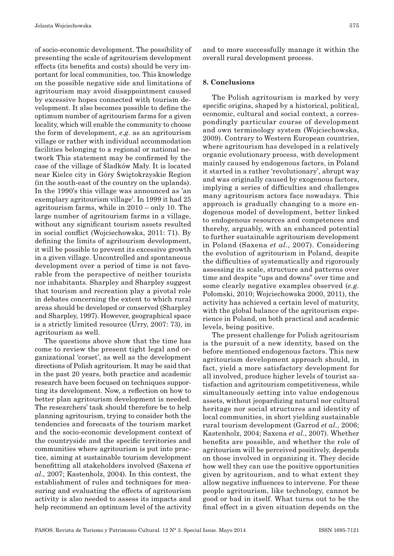of socio -economic development. The possibility of presenting the scale of agritourism development effects (its benefits and costs) should be very important for local communities, too. This knowledge on the possible negative side and limitations of agritourism may avoid disappointment caused by excessive hopes connected with tourism development. It also becomes possible to define the optimum number of agritourism farms for a given locality, which will enable the community to choose the form of development, *e.g.* as an agritourism village or rather with individual accommodation facilities belonging to a regional or national network This statement may be confirmed by the case of the village of Śladków Mały. It is located near Kielce city in Góry Świętokrzyskie Region (in the south -east of the country on the uplands). In the 1990's this village was announced as 'an exemplary agritourism village'. In 1999 it had 25 agritourism farms, while in 2010 – only 10. The large number of agritourism farms in a village, without any significant tourism assets resulted in social conflict (Wojciechowska, 2011: 71). By defining the limits of agritourism development, it will be possible to prevent its excessive growth in a given village. Uncontrolled and spontaneous development over a period of time is not favorable from the perspective of neither tourists nor inhabitants. Sharpley and Sharpley suggest that tourism and recreation play a pivotal role in debates concerning the extent to which rural areas should be developed or conserved (Sharpley and Sharpley, 1997). However, geographical space is a strictly limited resource (Urry, 2007: 73), in agritourism as well.

The questions above show that the time has come to review the present tight legal and organizational 'corset', as well as the development directions of Polish agritourism. It may be said that in the past 20 years, both practice and academic research have been focused on techniques supporting its development. Now, a reflection on how to better plan agritourism development is needed. The researchers' task should therefore be to help planning agritourism, trying to consider both the tendencies and forecasts of the tourism market and the socio -economic development context of the countryside and the specific territories and communities where agritourism is put into practice, aiming at sustainable tourism development benefitting all stakeholders involved (Saxena *et al*., 2007; Kastenholz, 2004). In this context, the establishment of rules and techniques for measuring and evaluating the effects of agritourism activity is also needed to assess its impacts and help recommend an optimum level of the activity

and to more successfully manage it within the overall rural development process.

### **8. Conclusions**

The Polish agritourism is marked by very specific origins, shaped by a historical, political, economic, cultural and social context, a correspondingly particular course of development and own terminology system (Wojciechowska, 2009). Contrary to Western European countries, where agritourism has developed in a relatively organic evolutionary process, with development mainly caused by endogenous factors, in Poland it started in a rather 'revolutionary', abrupt way and was originally caused by exogenous factors, implying a series of difficulties and challenges many agritourism actors face nowadays. This approach is gradually changing to a more endogenous model of development, better linked to endogenous resources and competences and thereby, arguably, with an enhanced potential to further sustainable agritourism development in Poland (Saxena *et al*., 2007). Considering the evolution of agritourism in Poland, despite the difficulties of systematically and rigorously assessing its scale, structure and patterns over time and despite "ups and downs" over time and some clearly negative examples observed (*e.g.* Połomski, 2010; Wojciechowska 2000, 2011), the activity has achieved a certain level of maturity, with the global balance of the agritourism experience in Poland, on both practical and academic levels, being positive.

The present challenge for Polish agritourism is the pursuit of a new identity, based on the before mentioned endogenous factors. This new agritourism development approach should, in fact, yield a more satisfactory development for all involved, produce higher levels of tourist satisfaction and agritourism competitiveness, while simultaneously setting into value endogenous assets, without jeopardizing natural nor cultural heritage nor social structures and identity of local communities, in short yielding sustainable rural tourism development (Garrod *et al*., 2006; Kastenholz, 2004; Saxena *et al*., 2007). Whether benefits are possible, and whether the role of agritourism will be perceived positively, depends on those involved in organizing it. They decide how well they can use the positive opportunities given by agritourism, and to what extent they allow negative influences to intervene. For these people agritourism, like technology, cannot be good or bad in itself. What turns out to be the final effect in a given situation depends on the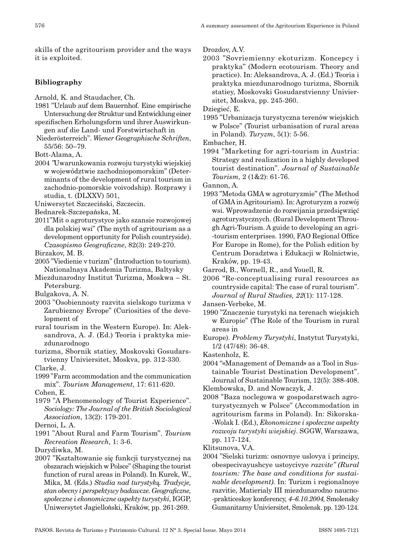skills of the agritourism provider and the ways it is exploited.

# **Bibliography**

- Arnold, K. and Staudacher, Ch.
- 1981 "Urlaub auf dem Bauernhof. Eine empirische Untersuchung der Struktur und Entwicklung einer
- spezifischen Erholungsform und ihrer Auswirkungen auf die Land - und Forstwirtschaft in
- Niederösterreich". *Wiener Geographische Schriften*, 55/56: 50–79.

Bott -Alama, A.

- 2004 *"*Uwarunkowania rozwoju turystyki wiejskiej w województwie zachodniopomorskim" (Determinants of the development of rural tourism in zachodnio -pomorskie voivodship). Rozprawy i studia, t. (DLXXV) 501,
- Uniwersytet Szczeciński, Szczecin.
- Bednarek -Szczepańska, M.
- 2011"Mit o agroturystyce jako szansie rozwojowej dla polskiej wsi" (The myth of agritourism as a development opportunity for Polish countryside). *Czasopismo Geograficzne*, 82(3): 249 -270.

Birzakov, M. B.

- 2005 "Viedienie v turizm" (Introduction to tourism). Nationalnaya Akademia Turizma, Baltysky
- Miezdunarodny Institut Turizma, Moskwa St. Petersburg.
- Bulgakova, A. N.
- 2003 "Osobiennosty razvita sielskogo turizma v Zarubieznoy Evrope" (Curiosities of the development of
- rural tourism in the Western Europe). In: Aleksandrova, A. J. (Ed.) Teoria i praktyka miezdunarodnogo
- turizma, Sbornik statiey, Moskovski Gosudarstvienny Univiersitet, Moskva, pp. 312 -330.

Clarke, J.

1999 "Farm accommodation and the communication mix". *Tourism Management*, 17: 611 -620.

Cohen, E.

- 1979 "A Phenomenology of Tourist Experience". *Sociology: The Journal of the British Sociological Association*, 13(2): 179 -201.
- Dernoi, L. A.
- 1991 "About Rural and Farm Tourism". *Tourism Recreation Research*, 1: 3 -6.
- Durydiwka, M.
- 2007 "Kształtowanie się funkcji turystycznej na obszarach wiejskich w Polsce" (Shaping the tourist function of rural areas in Poland). In Kurek, W., Mika, M. (Eds.) *Studia nad turystyk*ą*. Tradycje, stan obecny i perspektywy badawcze. Geograficzne, społeczne i ekonomiczne aspekty turystyki*, IGGP, Uniwersytet Jagielloński, Kraków, pp. 261 -269.

Drozdov, A.V.

2003 "Sovriemienny ekoturizm. Koncepcy i praktyka" (Modern ecotourism. Theory and practice). In: Aleksandrova, A. J. (Ed.) Teoria i praktyka miezdunarodnogo turizma, Sbornik statiey, Moskovski Gosudarstvienny Univiersitet, Moskva, pp. 245 -260.

Dziegieć, E.

1995 "Urbanizacja turystyczna terenów wiejskich w Polsce" (Tourist urbanisation of rural areas in Poland). *Turyzm*, 5(1): 5 -56.

Embacher, H.

1994 "Marketing for agri -tourism in Austria: Strategy and realization in a highly developed tourist destination". *Journal of Sustainable Tourism,* 2 (1&2): 61 -76.

Gannon, A.

1993 "Metoda GMA w agroturyzmie" (The Method of GMA in Agritourism). In: Agroturyzm a rozwój wsi. Wprowadzenie do rozwijania przedsięwzięć agroturystycznych. (Rural Development Through Agri -Tourism. A guide to developing an agri- -tourism enterprises. 1990, FAO Regional Office For Europe in Rome), for the Polish edition by Centrum Doradztwa i Edukacji w Rolnictwie, Kraków, pp. 19 -43.

Garrod, B., Wornell, R., and Youell, R.

2006 "Re -conceptualising rural resources as countryside capital: The case of rural tourism". *Journal of Rural Studies, 22*(1): 117 -128.

- 1990 "Znaczenie turystyki na terenach wiejskich w Europie" (The Role of the Tourism in rural areas in
- Europe). *Problemy Turystyki*, Instytut Turystyki, 1/2 (47/48): 36 -48.
- Kastenholz, E.
- 2004 "«Management of Demand» as a Tool in Sustainable Tourist Destination Development". Journal of Sustainable Tourism, 12(5): 388 -408.

Klembowska, D. and Nowaczyk, J.

2008 "Baza noclegowa w gospodarstwach agroturystycznych w Polsce" (Accommodation in agritourism farms in Poland). In: Sikorska- -Wolak I. (Ed.), *Ekonomiczne i społeczne aspekty rozwoju turystyki wiejskiej*. SGGW, Warszawa, pp. 117 -124.

Klitsunova, V.A.

2004 "Sielski turizm: osnovnye uslovya i principy, obespecivayushcye ustoycivye *razvite" (Rural tourism: The base and conditions for sustai‑ nable development).* In: Turizm i regionalnoye razvitie, Matierialy III miezdunarodno naucno- -prakticeskoy konferency, *4–6.10.2004,* Smolensky Gumanitarny Univiersitet, Smolensk. pp. 120 -124.

Jansen -Verbeke, M.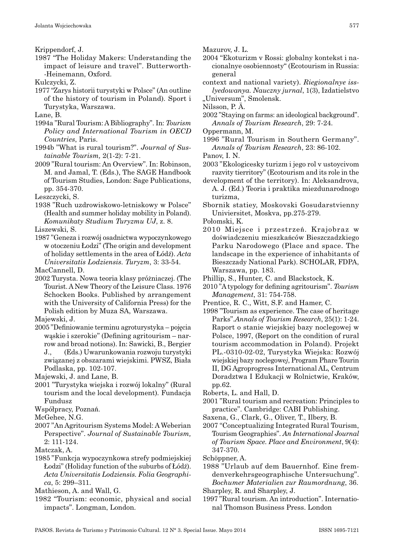Krippendorf, J.

1987 "The Holiday Makers: Understanding the impact of leisure and travel". Butterworth- -Heinemann, Oxford.

Kulczycki, Z.

1977 "Zarys historii turystyki w Polsce" (An outline of the history of tourism in Poland)*.* Sport i Turystyka, Warszawa.

Lane, B.

- 1994a "Rural Tourism: A Bibliography". In: *Tourism Policy and International Tourism in OECD Countries*, Paris.
- 1994b "What is rural tourism?". *Journal of Sus‑ tainable Tourism,* 2(1 -2): 7 -21.
- 2009 "Rural tourism: An Overview". In: Robinson, M. and Jamal, T. (Eds.), The SAGE Handbook of Tourism Studies, London: Sage Publications, pp. 354 -370.

Leszczycki, S.

1938 "Ruch uzdrowiskowo -letniskowy w Polsce" (Health and summer holiday mobility in Poland). *Komunikaty Studium Turyzmu UJ*, z. 8.

Liszewski, S.

1987 "Geneza i rozwój osadnictwa wypoczynkowego w otoczeniu Łodzi" (The origin and development of holiday settlements in the area of Łódź). *Acta Universitatis Lodziensis. Turyzm*, 3: 33 -54.

MacCannell, D.

2002 Turysta. Nowa teoria klasy próżniaczej. (The Tourist. A New Theory of the Leisure Class. 1976 Schocken Books. Published by arrangement with the University of California Press) for the Polish edition by Muza SA, Warszawa.

Majewski, J.

- 2005 "Definiowanie terminu agroturystyka pojęcia wąskie i szerokie" (Defining agritourism – narrow and broad notions). In: Sawicki, B., Bergier J., (Eds.) Uwarunkowania rozwoju turystyki
	- związanej z obszarami wiejskimi. PWSZ, Biała Podlaska, pp. 102-107.

Majewski, J. and Lane, B.

2001 "Turystyka wiejska i rozwój lokalny" (Rural tourism and the local development)*.* Fundacja Fundusz

Współpracy, Poznań.

- McGehee, N.G.
- 2007 "An Agritourism Systems Model: A Weberian Perspective". *Journal of Sustainable Tourism,* 2: 111 -124.
- Matczak, A.
- 1985 "Funkcja wypoczynkowa strefy podmiejskiej Łodzi" (Holiday function of the suburbs of Łódź). *Acta Universitatis Lodziensis. Folia Geographi‑ ca*, 5: 299–311.

Mathieson, A. and Wall, G.

1982 "Tourism: economic, physical and social impacts". Longman, London.

Mazurov, J. L.

- 2004 "Ekoturizm v Rossi: globalny kontekst i nacionalnye osobiennosty" (Ecotourism in Russia: general
- context and national variety). *Riegionalnye iss‑ lyedowanya. Nauczny jurnal*, 1(3), Izdatielstvo "Universum", Smolensk.

Nilsson, P. Ä.

2002 "Staying on farms: an ideological background". *Annals of Tourism Research*, 29: 7 -24.

Oppermann, M.

1996 "Rural Tourism in Southern Germany". *Annals of Tourism Research*, 23: 86 -102.

Panov, I. N.

- 2003 "Ekologicesky turizm i jego rol v ustoycivom razvity tierritory" (Ecotourism and its role in the
- development of the territory). In: Aleksandrova, A. J. (Ed.) Teoria i praktika miezdunarodnogo turizma,
- Sbornik statiey, Moskovski Gosudarstvienny Univiersitet, Moskva, pp.275 -279.
- Połomski, K.
- 2010 Miejsce i przestrzeń. Krajobraz w doświadczeniu mieszkańców Bieszczadzkiego Parku Narodowego (Place and space. The landscape in the experience of inhabitants of Bieszczady National Park). SCHOLAR, FDPA, Warszawa, pp. 183.

Phillip, S., Hunter, C. and Blackstock, K.

- 2010 "A typology for defining agritourism". *Tourism Management*, 31: 754 -758.
- Prentice, R. C., Witt, S.F. and Hamer, C.
- 1998 "Tourism as experience. The case of heritage Parks".*Annals of Tourism Research*, 25(1): 1 -24. Raport o stanie wiejskiej bazy noclegowej w Polsce, 1997, (Report on the condition of rural tourism accommodation in Poland). Projekt PL. -0310 -02 -02, Turystyka Wiejska: Rozwój wiejskiej bazy noclegowe*j*, Program Phare Tourin II, DG Agroprogress International AL, Centrum Doradztwa I Edukacji w Rolnictwie, Kraków, pp.62.
- Roberts, L. and Hall, D.
- 2001 "Rural tourism and recreation: Principles to practice". Cambridge: CABI Publishing.
- Saxena, G., Clark, G., Oliver, T., Ilbery, B.
- 2007 "Conceptualizing Integrated Rural Tourism, Tourism Geographies". *An International Journal of Tourism Space. Place and Environment*, 9(4): 347 -370.
- Schöppner, A.
- 1988 "Urlaub auf dem Bauernhof. Eine fremdenverkehrsgeographische Untersuchung". *Bochumer Materialien zur Raumordnung*, 36.

Sharpley, R. and Sharpley, J.

1997 "Rural tourism. An introduction". International Thomson Business Press. London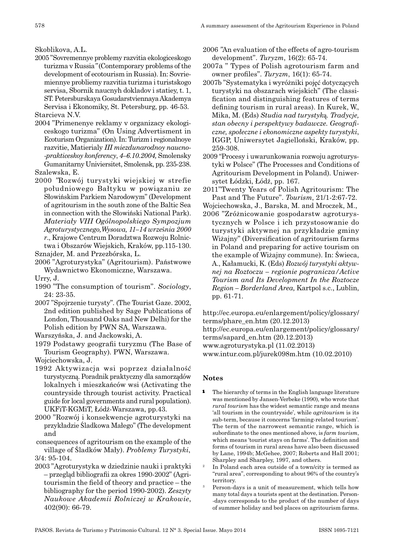Skoblikova, A.L.

2005 "Sovremennye problemy razvitia ekologiceskogo turizma v Russia*"* (Contemporary problems of the development of ecotourism in Russia). In: Sovriemiennye probliemy razvitia turizma i turistskogo servisa, Sbornik naucnyh dokladov i statiey, t. 1, ST. Petersburskaya Gosudarstviennaya Akademya Servisa i Ekonomiky, St. Petersburg, pp. 46 -53.

Starcieva N.V.

- 2004 "Primenenye reklamy v organizacy ekologiceskogo turizma" (On Using Advertisment in Ecoturism Organization). In: Turizm i regionalnoye razvitie, Matierialy *III miezdunarodnoy naucno‑ ‑prakticeskoy konferency*, *4–6.10.2004,* Smolensky Gumanitarny Univiersitet, Smolensk, pp. 235 -238. Szalewska, E.
- 2000 *"*Rozwój turystyki wiejskiej w strefie południowego Bałtyku w powiązaniu ze Słowińskim Parkiem Narodowym" (Development of agritourism in the south zone of the Baltic Sea in connection with the Słowiński National Park). *Materiały VIII Ogólnopolskiego Sympozjum Agroturystycznego,Wysowa, 11–14 wrze*ś*nia 2000 r*., Krajowe Centrum Doradztwa Rozwoju Rolnictwa i Obszarów Wiejskich, Kraków, pp.115 -130.

Sznajder, M. and Przezbórska, L.

- 2006 "Agroturystyka" (Agritourism). Państwowe Wydawnictwo Ekonomiczne, Warszawa.
- Urry, J.
- 1990 "The consumption of tourism". *Sociology*, 24: 23 -35.
- 2007 "Spojrzenie turysty"*.* (The Tourist Gaze. 2002, 2nd edition published by Sage Publications of London, Thousand Oaks nad New Delhi) for the Polish edition by PWN SA, Warszawa.
- Warszyńska, J. and Jackowski, A.
- 1979 Podstawy geografii turyzmu (The Base of Tourism Geography)*.* PWN, Warszawa.

Wojciechowska, J.

- 1992 Aktywizacja wsi poprzez działalność turystyczną. Poradnik praktyczny dla samorządów lokalnych i mieszkańców wsi (Activating the countryside through tourist activity. Practical guide for local governments and rural population). UKFiT -KGMiT, Łódź -Warszawa, pp.43.
- 2000 "Rozwój i konsekwencje agroturystyki na przykładzie Śladkowa Małego" (The development and

 consequences of agritourism on the example of the village of Śladków Mały). *Problemy Turystyki*, 3/4: 95 -104.

2003 "Agroturystyka w dziedzinie nauki i praktyki – przegląd bibliografii za okres 1990 -2002" (Agritourismin the field of theory and practice – the bibliography for the period 1990 -2002). *Zeszyty Naukowe Akademii Rolniczej w Krakowie*, 402(90): 66 -79.

2006 *"*An evaluation of the effects of agro -tourism development". *Turyzm*, 16(2): 65 -74.

2007a " Types of Polish agrotourism farm and owner profiles". *Turyzm*, 16(1): 65 -74.

- 2007b "Systematyka i wyróżniki pojęć dotyczących turystyki na obszarach wiejskich" (The classification and distinguishing features of terms defining tourism in rural areas). In Kurek, W., Mika, M. (Eds) *Studia nad turystyk*ą*. Tradycje, stan obecny i perspektywy badawcze. Geografi‑ czne, społeczne i ekonomiczne aspekty turystyki*, IGGP, Uniwersytet Jagielloński, Kraków, pp. 259 -308.
- 2009 "Procesy i uwarunkowania rozwoju agroturystyki w Polsce" (The Processes and Conditions of Agritourism Development in Poland)*.* Uniwersytet Łódzki, Łódź, pp. 167.
- 2011"Twenty Years of Polish Agritourism: The Past and The Future". *Tourism*, 21/1 -2:67 -72.
- Wojciechowska, J., Barska, M. and Mroczek, M., 2006 "Zróżnicowanie gospodarstw agroturystycznych w Polsce i ich przystosowanie do turystyki aktywnej na przykładzie gminy Wiżajny" (Diversification of agritourism farms in Poland and preparing for active tourism on the example of Wiżajny commune). In: Świeca, A., Kałamucki, K. (Eds) *Rozwój turystyki aktyw‑ nej na Roztoczu – regionie pogranicza/Active Tourism and Its Development In the Roztocze Region – Borderland Area,* Kartpol s.c., Lublin, pp. 61 -71.

http://ec.europa.eu/enlargement/policy/glossary/ terms/phare\_en.htm (20.12.2013) http://ec.europa.eu/enlargement/policy/glossary/ terms/sapard\_en.htm (20.12.2013) www.agroturystyka.pl (11.02.2013)

www.intur.com.pl/jurek098m.htm (10.02.2010)

# **Notes**

- The hierarchy of terms in the English language literature was mentioned by Jansen -Verbeke (1990), who wrote that *rural tourism* has the widest semantic range and means 'all tourism in the countryside', while *agritourism* is its sub -term, because it concerns 'farming -related tourism'. The term of the narrowest semantic range, which is subordinate to the ones mentioned above, is *farm tourism*, which means 'tourist stays on farms'. The definition and forms of tourism in rural areas have also been discussed by Lane, 1994b; McGehee, 2007; Roberts and Hall 2001; Sharpley and Sharpley, 1997, and others.<br>In Poland each area outside of a town/city is termed as
- "rural area", corresponding to about 96% of the country's territory.
- Person-days is a unit of measurement, which tells how many total days a tourists spent at the destination. Person- -days corresponds to the product of the number of days of summer holiday and bed places on agritourism farms.